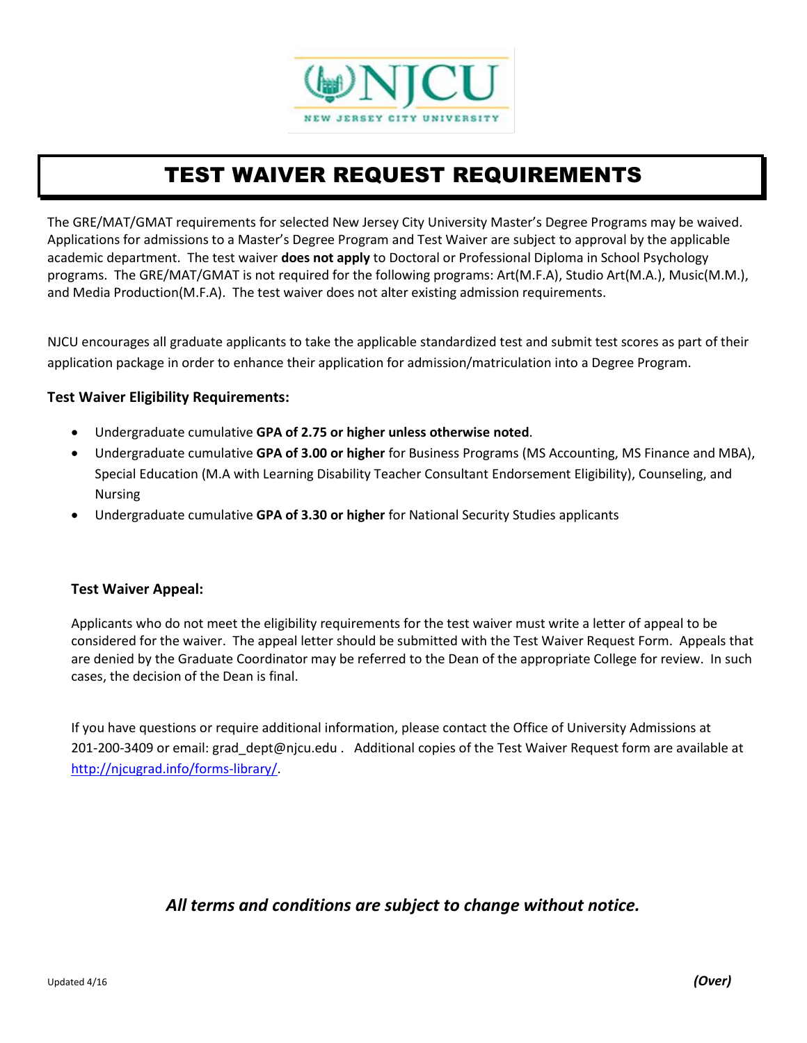

# TEST WAIVER REQUEST REQUIREMENTS

The GRE/MAT/GMAT requirements for selected New Jersey City University Master's Degree Programs may be waived. Applications for admissions to a Master's Degree Program and Test Waiver are subject to approval by the applicable academic department. The test waiver **does not apply** to Doctoral or Professional Diploma in School Psychology programs. The GRE/MAT/GMAT is not required for the following programs: Art(M.F.A), Studio Art(M.A.), Music(M.M.), and Media Production(M.F.A). The test waiver does not alter existing admission requirements.

NJCU encourages all graduate applicants to take the applicable standardized test and submit test scores as part of their application package in order to enhance their application for admission/matriculation into a Degree Program.

#### **Test Waiver Eligibility Requirements:**

- Undergraduate cumulative **GPA of 2.75 or higher unless otherwise noted**.
- Undergraduate cumulative **GPA of 3.00 or higher** for Business Programs (MS Accounting, MS Finance and MBA), Special Education (M.A with Learning Disability Teacher Consultant Endorsement Eligibility), Counseling, and Nursing
- Undergraduate cumulative **GPA of 3.30 or higher** for National Security Studies applicants

### **Test Waiver Appeal:**

Applicants who do not meet the eligibility requirements for the test waiver must write a letter of appeal to be considered for the waiver. The appeal letter should be submitted with the Test Waiver Request Form. Appeals that are denied by the Graduate Coordinator may be referred to the Dean of the appropriate College for review. In such cases, the decision of the Dean is final.

If you have questions or require additional information, please contact the Office of University Admissions at 201-200-3409 or email: grad dept@njcu.edu . Additional copies of the Test Waiver Request form are available at [http://njcugrad.info/forms-library/.](http://njcugrad.info/forms-library/)

## *All terms and conditions are subject to change without notice.*